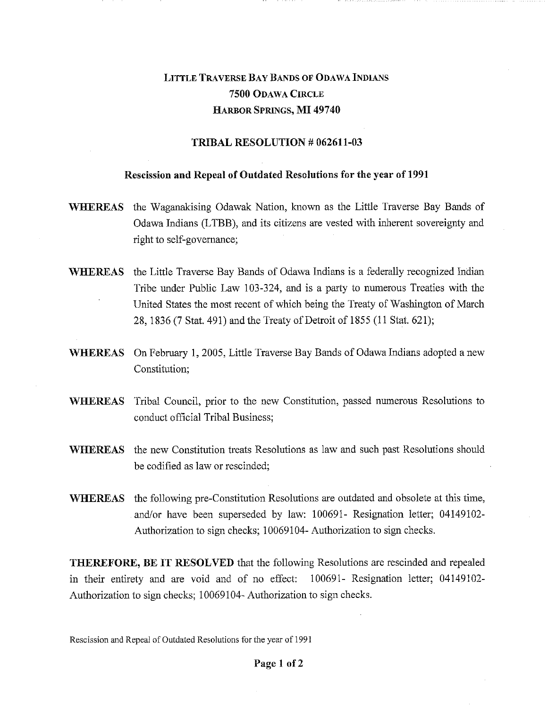## LITTLE TRAVERSE BAY BANDS OF ODAWA INDIANS **7500** ODAWA CIRCLE HARBOR SPRINGS, **MI 49740**

## **TRIBAL RESOLUTION # 062611-03**

## **Rescission and Repeal of Outdated Resolutions for the year of 1991**

- **WHEREAS** the Waganakising Odawak Nation, known as the Little Traverse Bay Bands of Odawa Indians (LTBB), and its citizens are vested with inherent sovereignty and right to self-governance;
- **WHEREAS** the Little Traverse Bay Bands of Odawa Indians is a federally recognized Indian Tribe under Public Law 103-324, and is a party to numerous Treaties with the United States the most recent of which being the Treaty of Washington of March 28, 1836 (7 Stat. 491) and the Treaty of Detroit of 1855 (11 Stat. 621);
- **WHEREAS** On February **1,** 2005, Little Traverse Bay Bands of Odawa Indians adopted a new Constitution;
- WHEREAS Tribal Council, prior to the new Constitution, passed numerous Resolutions to conduct official Tribal Business;
- WHEREAS the new Constitution treats Resolutions as law and such past Resolutions should be codified as law or rescinded;
- WHEREAS the following pre-Constitution Resolutions are outdated and obsolete at this time, and/or have been superseded by law: 100691- Resignation letter; 04149102- Authorization to sign checks; 10069104- Authorization to sign checks.

**THEREFORE, BE IT RESOLVED** that the following Resolutions are rescinded and repealed in their entirety and are void and of no effect: 100691- Resignation letter; 04149102- Authorization to sign checks; 10069104- Authorization to sign checks.